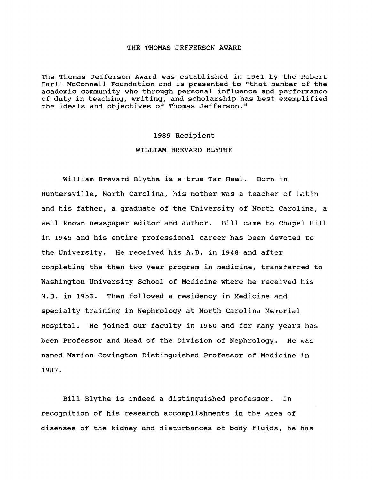## THE THOMAS JEFFERSON AWARD

The Thomas Jefferson Award was established in 1961 by the Robert Earll McConnell Foundation and is presented to "that member of the academic community who through personal influence and performance of duty in teaching, writing, and scholarship has best exemplified the ideals and objectives of Thomas Jefferson."

## 1989 Recipient

## WILLIAM BREVARD BLYTHE

William Brevard Blythe is a true Tar Heel. Born in Huntersville, North Carolina, his mother was a teacher of Latin and his father, a graduate of the University of North Carolina, a well known newspaper editor and author. Bill came to Chapel Hill in 1945 and his entire professional career has been devoted to the university. He received his A.B. in 1948 and after completing the then two year program in medicine, transferred to Washington University School of Medicine where he received his M.D. in 1953. Then followed a residency in Medicine and specialty training in Nephrology at North Carolina Memorial Hospital. He joined our faculty in 1960 and for many years has been Professor and Head of the Division of Nephrology. He was named Marion Covington Distinguished Professor of Medicine in 1987.

Bill Blythe is indeed a distinguished professor. In recognition of his research accomplishments in the area of diseases of the kidney and disturbances of body fluids, he has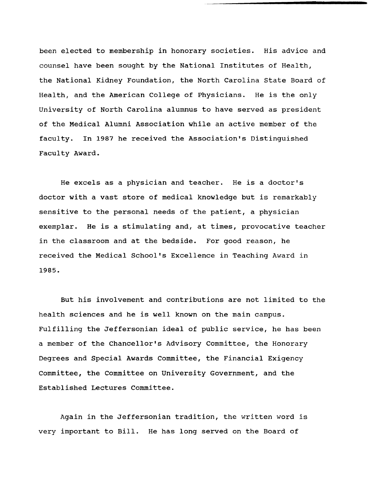been elected to membership in honorary societies. His advice and counsel have been sought by the National Institutes of Health, the National Kidney Foundation, the North Carolina state Board of Health, and the American College of Physicians. He is the only University of North Carolina alumnus to have served as president of the Medical Alumni Association while an active member of the faculty. In 1987 he received the Association's Distinguished Faculty Award.

He excels as a physician and teacher. He is a doctor's doctor with a vast store of medical knowledge but is remarkably sensitive to the personal needs of the patient, a physician exemplar. He is a stimulating and, at times, provocative teacher in the classroom and at the bedside. For good reason, he received the Medical School's Excellence in Teaching Award in 1985.

But his involvement and contributions are not limited to the health sciences and he is well known on the main campus. Fulfilling the Jeffersonian ideal of public service, he has been a member of the Chancellor's Advisory Committee, the Honorary Degrees and Special Awards Committee, the Financial Exigency Committee, the Committee on University Government, and the Established Lectures Committee.

Again in the Jeffersonian tradition, the written word is very important to Bill. He has long served on the Board of